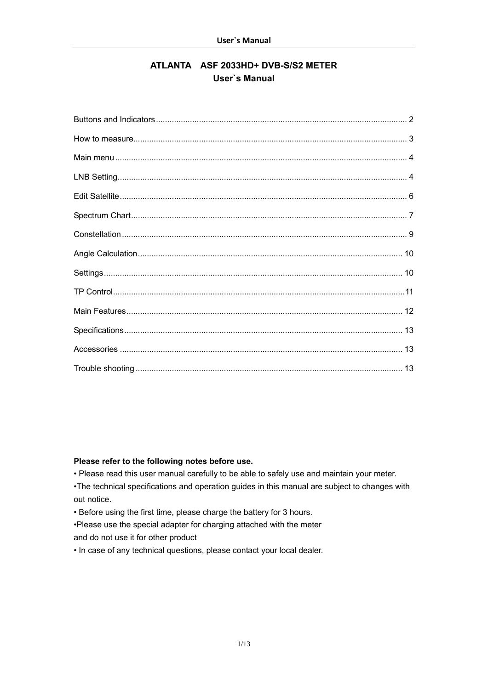# ATLANTA ASF 2033HD+ DVB-S/S2 METER **User's Manual**

### Please refer to the following notes before use.

. Please read this user manual carefully to be able to safely use and maintain your meter.

•The technical specifications and operation guides in this manual are subject to changes with out notice.

• Before using the first time, please charge the battery for 3 hours.

. Please use the special adapter for charging attached with the meter and do not use it for other product

. In case of any technical questions, please contact your local dealer.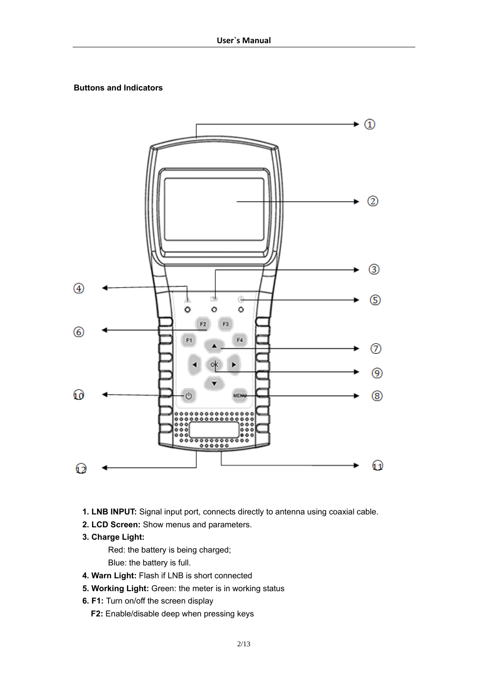# **Buttons and Indicators**



- **1. LNB INPUT:** Signal input port, connects directly to antenna using coaxial cable.
- **2. LCD Screen:** Show menus and parameters.
- **3. Charge Light:**

Red: the battery is being charged;

Blue: the battery is full.

- **4. Warn Light:** Flash if LNB is short connected
- **5. Working Light:** Green: the meter is in working status
- **6. F1:** Turn on/off the screen display
	- **F2:** Enable/disable deep when pressing keys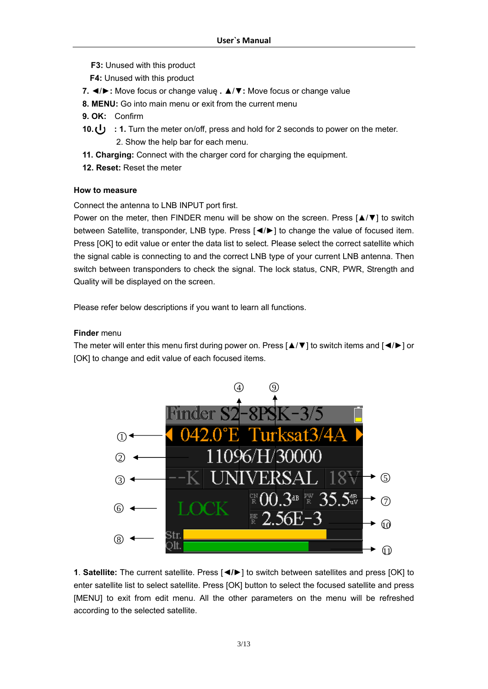- **F3:** Unused with this product
- **F4:** Unused with this product
- **7.** ◄/►**:** Move focus or change value **.** ▲/▼**:** Move focus or change value
- **8. MENU:** Go into main menu or exit from the current menu
- **9. OK:** Confirm
- **10. (1)** : 1. Turn the meter on/off, press and hold for 2 seconds to power on the meter. 2. Show the help bar for each menu.
- **11. Charging:** Connect with the charger cord for charging the equipment.
- **12. Reset:** Reset the meter

#### **How to measure**

Connect the antenna to LNB INPUT port first.

Power on the meter, then FINDER menu will be show on the screen. Press [▲/▼] to switch between Satellite, transponder, LNB type. Press [◄/►] to change the value of focused item. Press [OK] to edit value or enter the data list to select. Please select the correct satellite which the signal cable is connecting to and the correct LNB type of your current LNB antenna. Then switch between transponders to check the signal. The lock status, CNR, PWR, Strength and Quality will be displayed on the screen.

Please refer below descriptions if you want to learn all functions.

### **Finder** menu

The meter will enter this menu first during power on. Press [▲/▼] to switch items and [◄/►] or [OK] to change and edit value of each focused items.



**1**. **Satellite:** The current satellite. Press [**◄/►**] to switch between satellites and press [OK] to enter satellite list to select satellite. Press [OK] button to select the focused satellite and press [MENU] to exit from edit menu. All the other parameters on the menu will be refreshed according to the selected satellite.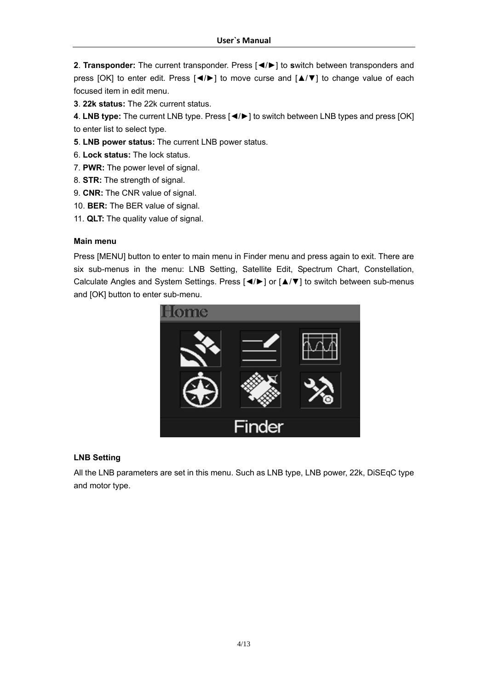**2**. **Transponder:** The current transponder. Press [◄/►] to **s**witch between transponders and press [OK] to enter edit. Press [◄/►] to move curse and [▲/▼] to change value of each focused item in edit menu.

**3**. **22k status:** The 22k current status.

**4**. **LNB type:** The current LNB type. Press [◄/►] to switch between LNB types and press [OK] to enter list to select type.

**5**. **LNB power status:** The current LNB power status.

- 6. **Lock status:** The lock status.
- 7. **PWR:** The power level of signal.
- 8. **STR:** The strength of signal.
- 9. **CNR:** The CNR value of signal.
- 10. **BER:** The BER value of signal.
- 11. **QLT:** The quality value of signal.

#### **Main menu**

Press [MENU] button to enter to main menu in Finder menu and press again to exit. There are six sub-menus in the menu: LNB Setting, Satellite Edit, Spectrum Chart, Constellation, Calculate Angles and System Settings. Press [◄/►] or [▲/▼] to switch between sub-menus and [OK] button to enter sub-menu.



# **LNB Setting**

All the LNB parameters are set in this menu. Such as LNB type, LNB power, 22k, DiSEqC type and motor type.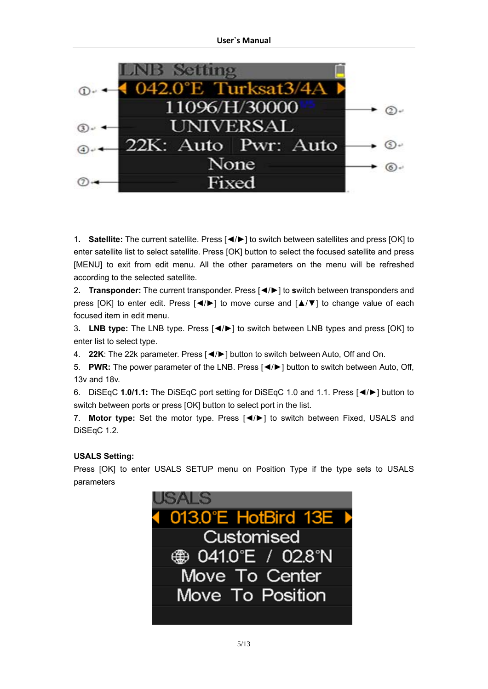

1**. Satellite:** The current satellite. Press [◄/►] to switch between satellites and press [OK] to enter satellite list to select satellite. Press [OK] button to select the focused satellite and press [MENU] to exit from edit menu. All the other parameters on the menu will be refreshed according to the selected satellite.

2**. Transponder:** The current transponder. Press [◄/►] to **s**witch between transponders and press [OK] to enter edit. Press [◄/►] to move curse and [▲/▼] to change value of each focused item in edit menu.

3**. LNB type:** The LNB type. Press [◄/►] to switch between LNB types and press [OK] to enter list to select type.

4. **22K**: The 22k parameter. Press [◄/►] button to switch between Auto, Off and On.

5. **PWR:** The power parameter of the LNB. Press [◄/►] button to switch between Auto, Off, 13v and 18v.

6. DiSEqC **1.0/1.1:** The DiSEqC port setting for DiSEqC 1.0 and 1.1. Press [◄/►] button to switch between ports or press [OK] button to select port in the list.

7. **Motor type:** Set the motor type. Press [◄/►] to switch between Fixed, USALS and DiSEqC 1.2.

# **USALS Setting:**

Press [OK] to enter USALS SETUP menu on Position Type if the type sets to USALS parameters

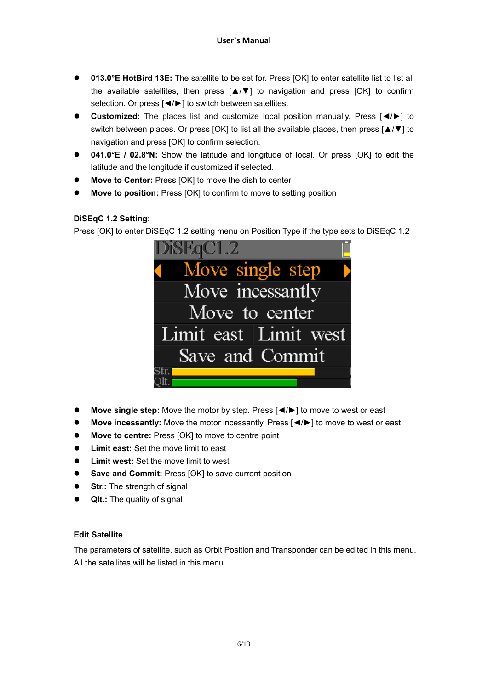- **013.0°E HotBird 13E:** The satellite to be set for. Press [OK] to enter satellite list to list all the available satellites, then press [▲/▼] to navigation and press [OK] to confirm selection. Or press [◀/▶] to switch between satellites.
- **•** Customized: The places list and customize local position manually. Press [◀/▶] to switch between places. Or press [OK] to list all the available places, then press [▲/▼] to navigation and press [OK] to confirm selection.
- z **041.0°E / 02.8°N:** Show the latitude and longitude of local. Or press [OK] to edit the latitude and the longitude if customized if selected.
- **Move to Center:** Press [OK] to move the dish to center
- **Move to position:** Press [OK] to confirm to move to setting position

# **DiSEqC 1.2 Setting:**

Press [OK] to enter DiSEqC 1.2 setting menu on Position Type if the type sets to DiSEqC 1.2

| <b>DiSEqC1.2</b>      |
|-----------------------|
| • Move single step    |
| Move incessantly      |
| Move to center        |
| Limit east Limit west |
| Save and Commit       |
|                       |

- **■** Move single step: Move the motor by step. Press  $\left[ \bigtriangleup \right]$  to move to west or east
- **Move incessantly:** Move the motor incessantly. Press [◀/▶] to move to west or east
- **Move to centre:** Press [OK] to move to centre point
- **Limit east:** Set the move limit to east
- **Limit west:** Set the move limit to west
- **•** Save and Commit: Press [OK] to save current position
- **Str.:** The strength of signal
- QIt.: The quality of signal

# **Edit Satellite**

The parameters of satellite, such as Orbit Position and Transponder can be edited in this menu. All the satellites will be listed in this menu.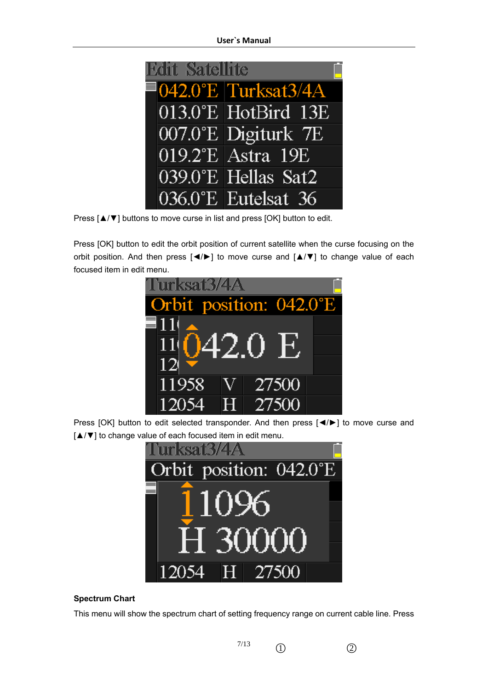| <b>Edit Satellite</b> |                                    |
|-----------------------|------------------------------------|
|                       | $\blacksquare$ 042.0°E Turksat3/4A |
|                       | 013.0°E HotBird 13E                |
|                       | 007.0°E Digiturk 7E                |
|                       | 019.2°E Astra 19E                  |
|                       | 039.0°E Hellas Sat2                |
|                       | 036.0°E Eutelsat 36                |

Press [▲/▼] buttons to move curse in list and press [OK] button to edit.

Press [OK] button to edit the orbit position of current satellite when the curse focusing on the orbit position. And then press [◄/►] to move curse and [▲/▼] to change value of each focused item in edit menu.



Press [OK] button to edit selected transponder. And then press [◄/►] to move curse and [▲/▼] to change value of each focused item in edit menu.



#### **Spectrum Chart**

This menu will show the spectrum chart of setting frequency range on current cable line. Press

7/13  $\circled{1}$   $\circled{2}$ 

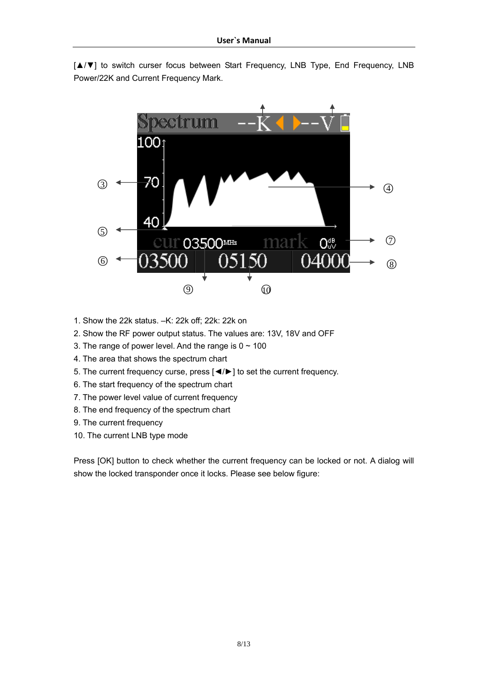[▲/▼] to switch curser focus between Start Frequency, LNB Type, End Frequency, LNB Power/22K and Current Frequency Mark.



- 1. Show the 22k status. –K: 22k off; 22k: 22k on
- 2. Show the RF power output status. The values are: 13V, 18V and OFF
- 3. The range of power level. And the range is  $0 \sim 100$
- 4. The area that shows the spectrum chart
- 5. The current frequency curse, press [◄/►] to set the current frequency.
- 6. The start frequency of the spectrum chart
- 7. The power level value of current frequency
- 8. The end frequency of the spectrum chart
- 9. The current frequency
- 10. The current LNB type mode

Press [OK] button to check whether the current frequency can be locked or not. A dialog will show the locked transponder once it locks. Please see below figure: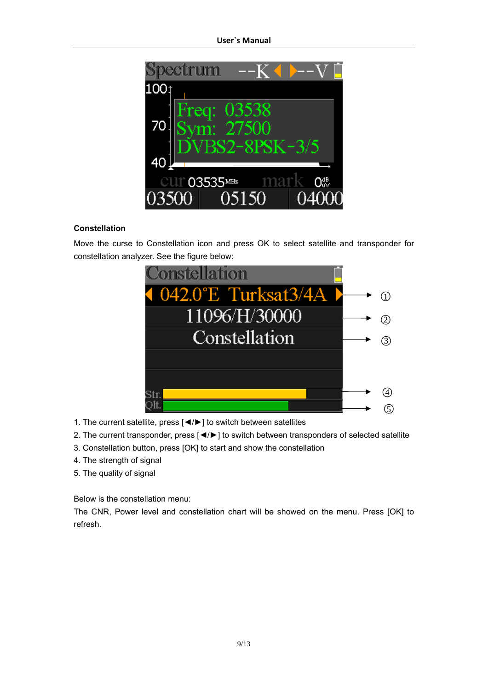

# **Constellation**

Move the curse to Constellation icon and press OK to select satellite and transponder for constellation analyzer. See the figure below:



- 1. The current satellite, press [◄/►] to switch between satellites
- 2. The current transponder, press [◄/►] to switch between transponders of selected satellite
- 3. Constellation button, press [OK] to start and show the constellation
- 4. The strength of signal
- 5. The quality of signal

Below is the constellation menu:

The CNR, Power level and constellation chart will be showed on the menu. Press [OK] to refresh.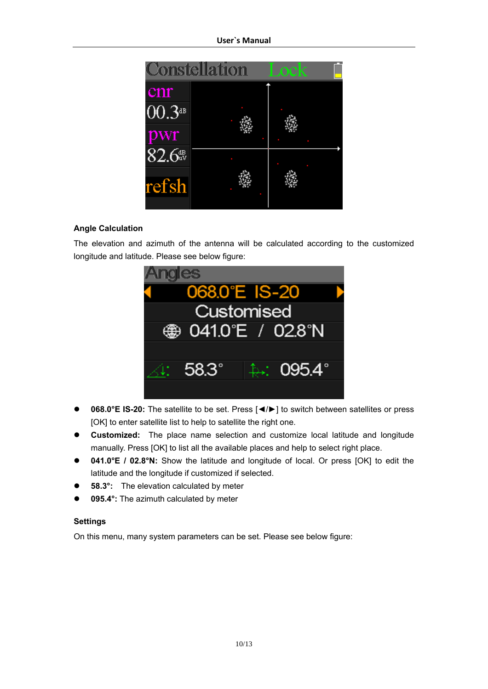

# **Angle Calculation**

The elevation and azimuth of the antenna will be calculated according to the customized longitude and latitude. Please see below figure:



- **068.0°E IS-20:** The satellite to be set. Press  $\left[ \frac{4}{\epsilon} \right]$  to switch between satellites or press [OK] to enter satellite list to help to satellite the right one.
- **Customized:** The place name selection and customize local latitude and longitude manually. Press [OK] to list all the available places and help to select right place.
- **041.0°E** / 02.8°N: Show the latitude and longitude of local. Or press [OK] to edit the latitude and the longitude if customized if selected.
- **58.3°:** The elevation calculated by meter
- 095.4°: The azimuth calculated by meter

#### **Settings**

On this menu, many system parameters can be set. Please see below figure: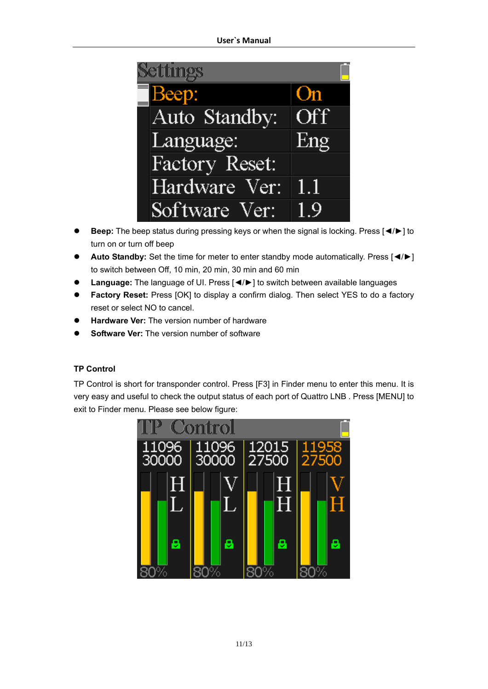| <b>Settings</b> |     |
|-----------------|-----|
| Beep:           | On  |
| Auto Standby:   | Off |
| Language:       | Eng |
| Factory Reset:  |     |
| Hardware Ver:   | 1.1 |
| Software Ver:   | 1 Q |

- z **Beep:** The beep status during pressing keys or when the signal is locking. Press [◄/►] to turn on or turn off beep
- **Auto Standby:** Set the time for meter to enter standby mode automatically. Press [◀/▶] to switch between Off, 10 min, 20 min, 30 min and 60 min
- z **Language:** The language of UI. Press [◄/►] to switch between available languages
- **Factory Reset:** Press [OK] to display a confirm dialog. Then select YES to do a factory reset or select NO to cancel.
- **Hardware Ver:** The version number of hardware
- **Software Ver:** The version number of software

### **TP Control**

TP Control is short for transponder control. Press [F3] in Finder menu to enter this menu. It is very easy and useful to check the output status of each port of Quattro LNB . Press [MENU] to exit to Finder menu. Please see below figure:

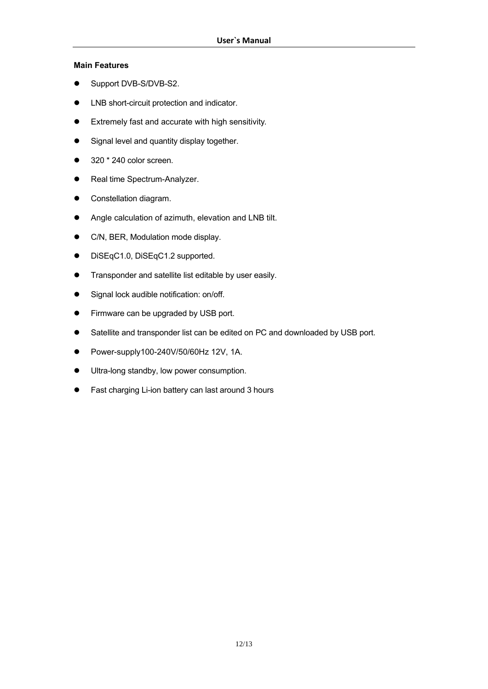### **Main Features**

- Support DVB-S/DVB-S2.
- LNB short-circuit protection and indicator.
- **•** Extremely fast and accurate with high sensitivity.
- Signal level and quantity display together.
- $\bullet$  320  $*$  240 color screen.
- Real time Spectrum-Analyzer.
- Constellation diagram.
- Angle calculation of azimuth, elevation and LNB tilt.
- C/N, BER, Modulation mode display.
- DiSEqC1.0, DiSEqC1.2 supported.
- $\bullet$  Transponder and satellite list editable by user easily.
- Signal lock audible notification: on/off.
- Firmware can be upgraded by USB port.
- Satellite and transponder list can be edited on PC and downloaded by USB port.
- **•** Power-supply100-240V/50/60Hz 12V, 1A.
- $\bullet$  Ultra-long standby, low power consumption.
- Fast charging Li-ion battery can last around 3 hours